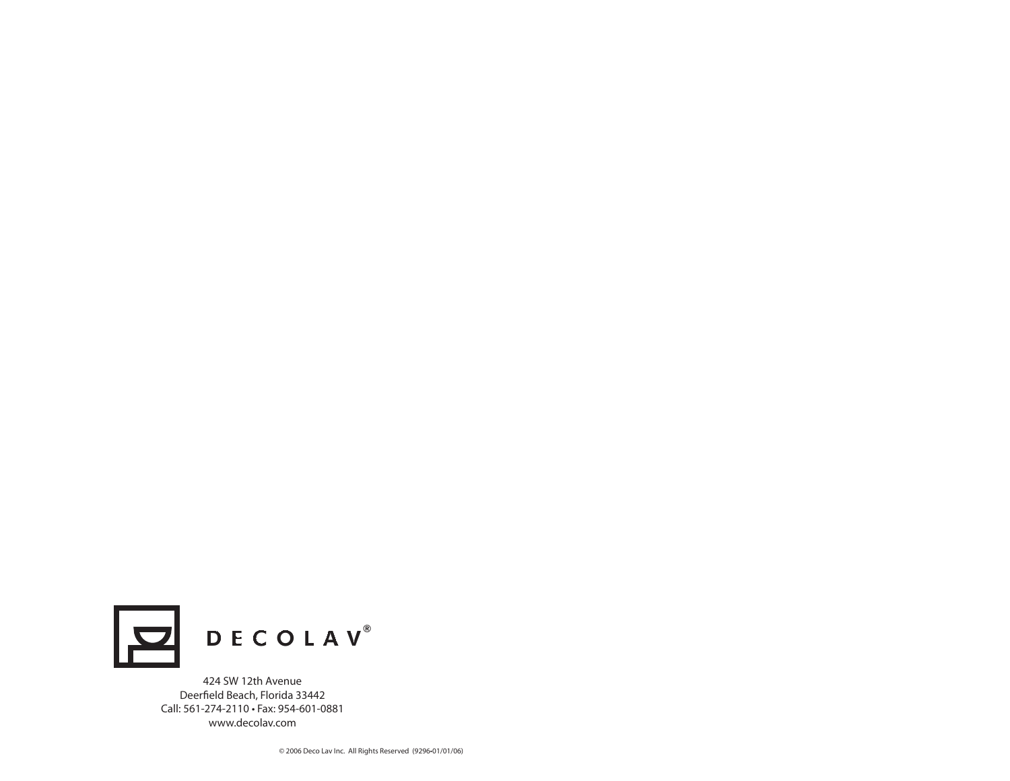

424 SW 12th Avenue Deerfield Beach, Florida 33442 Call: 561-274-2110 • Fax: 954-601-0881www.decolav.com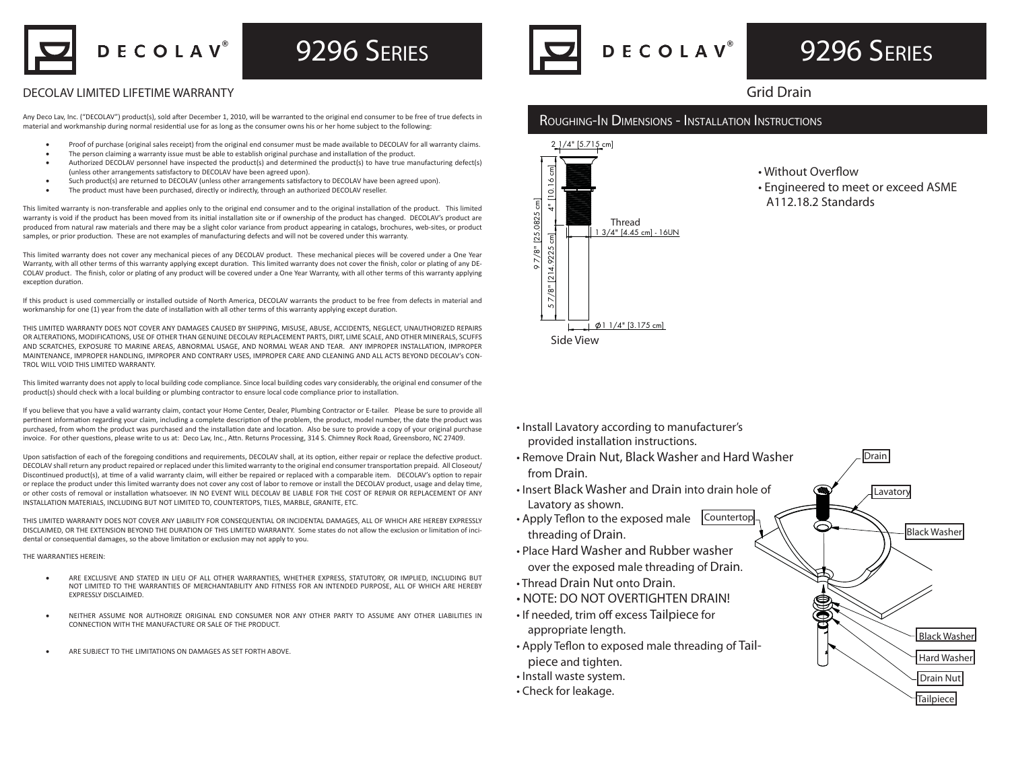DECOLAV<sup>®</sup>

### **9296 SERIES**

### DECOLAV LIMITED LIFETIME WARRANTY

Any Deco Lav, Inc. ("DECOLAV") product(s), sold after December 1, 2010, will be warranted to the original end consumer to be free of true defects in material and workmanship during normal residential use for as long as the consumer owns his or her home subject to the following:

- Proof of purchase (original sales receipt) from the original end consumer must be made available to DECOLAV for all warranty claims.
- The person claiming a warranty issue must be able to establish original purchase and installation of the product.
- Authorized DECOLAV personnel have inspected the product(s) and determined the product(s) to have true manufacturing defect(s) (unless other arrangements satisfactory to DECOLAV have been agreed upon).
- Such product(s) are returned to DECOLAV (unless other arrangements satisfactory to DECOLAV have been agreed upon).
- The product must have been purchased, directly or indirectly, through an authorized DECOLAV reseller.

This limited warranty is non-transferable and applies only to the original end consumer and to the original installation of the product. This limited warranty is void if the product has been moved from its initial installation site or if ownership of the product has changed. DECOLAV's product are produced from natural raw materials and there may be a slight color variance from product appearing in catalogs, brochures, web-sites, or product samples, or prior production. These are not examples of manufacturing defects and will not be covered under this warranty.

This limited warranty does not cover any mechanical pieces of any DECOLAV product. These mechanical pieces will be covered under a One Year Warranty, with all other terms of this warranty applying except duration. This limited warranty does not cover the finish, color or plating of any DE-COLAV product. The finish, color or plating of any product will be covered under a One Year Warranty, with all other terms of this warranty applying exception duration.

If this product is used commercially or installed outside of North America, DECOLAV warrants the product to be free from defects in material and workmanship for one (1) year from the date of installation with all other terms of this warranty applying except duration.

THIS LIMITED WARRANTY DOES NOT COVER ANY DAMAGES CAUSED BY SHIPPING, MISUSE, ABUSE, ACCIDENTS, NEGLECT, UNAUTHORIZED REPAIRS OR ALTERATIONS, MODIFICATIONS, USE OF OTHER THAN GENUINE DECOLAV REPLACEMENT PARTS, DIRT, LIME SCALE, AND OTHER MINERALS, SCUFFS AND SCRATCHES, EXPOSURE TO MARINE AREAS, ABNORMAL USAGE, AND NORMAL WEAR AND TEAR. ANY IMPROPER INSTALLATION, IMPROPER MAINTENANCE, IMPROPER HANDLING, IMPROPER AND CONTRARY USES, IMPROPER CARE AND CLEANING AND ALL ACTS BEYOND DECOLAV's CON-TROL WILL VOID THIS LIMITED WARRANTY

This limited warranty does not apply to local building code compliance. Since local building codes vary considerably, the original end consumer of the product(s) should check with a local building or plumbing contractor to ensure local code compliance prior to installation.

If you believe that you have a valid warranty claim, contact your Home Center, Dealer, Plumbing Contractor or E-tailer. Please be sure to provide all pertinent information regarding your claim, including a complete description of the problem, the product, model number, the date the product was purchased, from whom the product was purchased and the installation date and location. Also be sure to provide a copy of your original purchase invoice. For other questions, please write to us at: Deco Lav, Inc., Attn. Returns Processing, 314 S. Chimney Rock Road, Greensboro, NC 27409.

Upon satisfaction of each of the foregoing conditions and requirements, DECOLAV shall, at its option, either repair or replace the defective product. DECOLAV shall return any product repaired or replaced under this limited warranty to the original end consumer transportation prepaid. All Closeout/ Discontinued product(s), at time of a valid warranty claim, will either be repaired or replaced with a comparable item. DECOLAV's option to repair or replace the product under this limited warranty does not cover any cost of labor to remove or install the DECOLAV product, usage and delay time, or other costs of removal or installation whatsoever. IN NO EVENT WILL DECOLAV BE LIABLE FOR THE COST OF REPAIR OR REPLACEMENT OF ANY INSTALLATION MATERIALS, INCLUDING BUT NOT LIMITED TO, COUNTERTOPS, TILES, MARBLE, GRANITE, ETC.

THIS LIMITED WARRANTY DOES NOT COVER ANY LIABILITY FOR CONSEQUENTIAL OR INCIDENTAL DAMAGES, ALL OF WHICH ARE HEREBY EXPRESSLY DISCLAIMED, OR THE EXTENSION BEYOND THE DURATION OF THIS LIMITED WARRANTY. Some states do not allow the exclusion or limitation of incidental or consequential damages, so the above limitation or exclusion may not apply to you.

#### THE WARRANTIES HEREIN:

- ARE EXCLUSIVE AND STATED IN LIEU OF ALL OTHER WARRANTIES, WHETHER EXPRESS, STATUTORY, OR IMPLIED, INCLUDING BUT NOT LIMITED TO THE WARRANTIES OF MERCHANTABILITY AND FITNESS FOR AN INTENDED PURPOSE, ALL OF WHICH ARE HEREBY EXPRESSLY DISCLAIMED.
- NEITHER ASSUME NOR AUTHORIZE ORIGINAL END CONSUMER NOR ANY OTHER PARTY TO ASSUME ANY OTHER LIABILITIES IN CONNECTION WITH THE MANUFACTURE OR SALE OF THE PRODUCT.
- ARE SUBJECT TO THE LIMITATIONS ON DAMAGES AS SET FORTH ABOVE.



# 9296 SERIES

### Grid Drain

#### ROUGHING-IN DIMENSIONS - INSTALLATION INSTRUCTIONS



- Without Overflow
- Engineered to meet or exceed ASME A112.18.2 Standards

Drain

**Lavatory** 

Black Washer

Drain Nut Tailpiece

Hard Washer

Black Washer

- Install Lavatory according to manufacturer's provided installation instructions.
- Remove Drain Nut, Black Washer and Hard Washer from Drain.
- Insert Black Washer and Drain into drain hole of Lavatory as shown.
- Apply Teflon to the exposed male Countertop threading of Drain.
- Place Hard Washer and Rubber washer over the exposed male threading of Drain.
- Thread Drain Nut onto Drain.
- NOTE: DO NOT OVERTIGHTEN DRAIN!
- If needed, trim off excess Tailpiece for appropriate length.
- Apply Teflon to exposed male threading of Tailpiece and tighten.
- Install waste system.
- Check for leakage.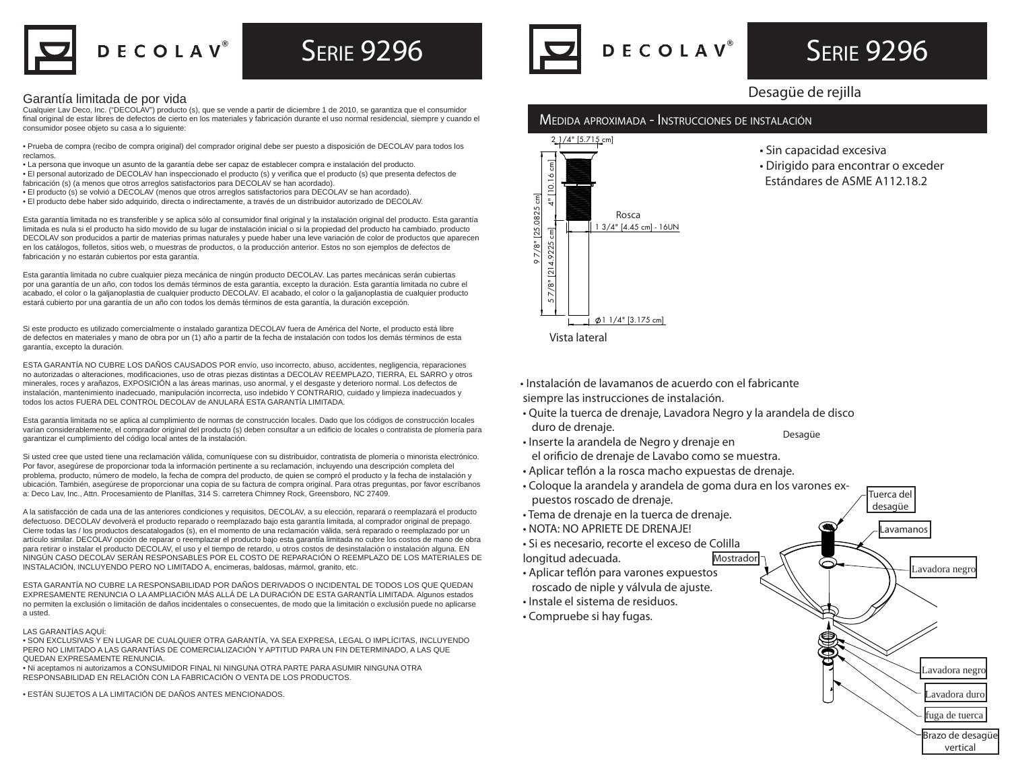

# $\mathsf D$  E C O L A V $^\circ$

## **SERIE 9296**

#### Garantía limitada de por vida

Cualquier Lav Deco, Inc. ("DECOLAV") producto (s), que se vende a partir de diciembre 1 de 2010, se garantiza que el consumidor final original de estar libres de defectos de cierto en los materiales y fabricación durante el uso normal residencial, siempre y cuando el consumidor posee objeto su casa a lo siguiente:

• Prueba de compra (recibo de compra original) del comprador original debe ser puesto a disposición de DECOLAV para todos los reclamos.

- La persona que invoque un asunto de la garantía debe ser capaz de establecer compra e instalación del producto.
- El personal autorizado de DECOLAV han inspeccionado el producto (s) y verifi ca que el producto (s) que presenta defectos de fabricación (s) (a menos que otros arreglos satisfactorios para DECOLAV se han acordado).
- El producto (s) se volvió a DECOLAV (menos que otros arreglos satisfactorios para DECOLAV se han acordado).
- El producto debe haber sido adquirido, directa o indirectamente, a través de un distribuidor autorizado de DECOLAV.

Esta garantía limitada no es transferible y se aplica sólo al consumidor final original y la instalación original del producto. Esta garantía limitada es nula si el producto ha sido movido de su lugar de instalación inicial o si la propiedad del producto ha cambiado. producto DECOLAV son producidos a partir de materias primas naturales y puede haber una leve variación de color de productos que aparecen en los catálogos, folletos, sitios web, o muestras de productos, o la producción anterior. Estos no son ejemplos de defectos de fabricación y no estarán cubiertos por esta garantía.

Esta garantía limitada no cubre cualquier pieza mecánica de ningún producto DECOLAV. Las partes mecánicas serán cubiertas por una garantía de un año, con todos los demás términos de esta garantía, excepto la duración. Esta garantía limitada no cubre el acabado, el color o la galjanoplastia de cualquier producto DECOLAV. El acabado, el color o la galjanoplastia de cualquier producto estará cubierto por una garantía de un año con todos los demás términos de esta garantía, la duración excepción.

Si este producto es utilizado comercialmente o instalado garantiza DECOLAV fuera de América del Norte, el producto está libre de defectos en materiales y mano de obra por un (1) año a partir de la fecha de instalación con todos los demás términos de esta garantía, excepto la duración.

ESTA GARANTÍA NO CUBRE LOS DAÑOS CAUSADOS POR envío, uso incorrecto, abuso, accidentes, negligencia, reparaciones no autorizadas o alteraciones, modificaciones, uso de otras piezas distintas a DECOLAV REEMPLAZO, TIERRA, EL SARRO y otros minerales, roces y arañazos, EXPOSICIÓN a las áreas marinas, uso anormal, y el desgaste y deterioro normal. Los defectos de instalación, mantenimiento inadecuado, manipulación incorrecta, uso indebido Y CONTRARIO, cuidado y limpieza inadecuados y todos los actos FUERA DEL CONTROL DECOLAV de ANULARÁ ESTA GARANTÍA LIMITADA.

Esta garantía limitada no se aplica al cumplimiento de normas de construcción locales. Dado que los códigos de construcción locales varían considerablemente, el comprador original del producto (s) deben consultar a un edificio de locales o contratista de plomería para garantizar el cumplimiento del código local antes de la instalación.

Si usted cree que usted tiene una reclamación válida, comuníquese con su distribuidor, contratista de plomería o minorista electrónico. Por favor, asegúrese de proporcionar toda la información pertinente a su reclamación, incluyendo una descripción completa del problema, producto, número de modelo, la fecha de compra del producto, de quien se compró el producto y la fecha de instalación y ubicación. También, asegúrese de proporcionar una copia de su factura de compra original. Para otras preguntas, por favor escríbanos a: Deco Lav, Inc., Attn. Procesamiento de Planillas, 314 S. carretera Chimney Rock, Greensboro, NC 27409.

A la satisfacción de cada una de las anteriores condiciones y requisitos, DECOLAV, a su elección, reparará o reemplazará el producto defectuoso. DECOLAV devolverá el producto reparado o reemplazado bajo esta garantía limitada, al comprador original de prepago. Cierre todas las / los productos descatalogados (s), en el momento de una reclamación válida, será reparado o reemplazado por un artículo similar. DECOLAV opción de reparar o reemplazar el producto bajo esta garantía limitada no cubre los costos de mano de obra para retirar o instalar el producto DECOLAV, el uso y el tiempo de retardo, u otros costos de desinstalación o instalación alguna. EN NINGÚN CASO DECOLAV SERÁN RESPONSABLES POR EL COSTO DE REPARACIÓN O REEMPLAZO DE LOS MATERIALES DE INSTALACIÓN, INCLUYENDO PERO NO LIMITADO A, encimeras, baldosas, mármol, granito, etc.

ESTA GARANTÍA NO CUBRE LA RESPONSABILIDAD POR DAÑOS DERIVADOS O INCIDENTAL DE TODOS LOS QUE QUEDAN EXPRESAMENTE RENUNCIA O LA AMPLIACIÓN MÁS ALLÁ DE LA DURACIÓN DE ESTA GARANTÍA LIMITADA. Algunos estados no permiten la exclusión o limitación de daños incidentales o consecuentes, de modo que la limitación o exclusión puede no aplicarse a usted.

#### LAS GARANTÍAS AQUÍ:

• SON EXCLUSIVAS Y EN LUGAR DE CUALQUIER OTRA GARANTÍA, YA SEA EXPRESA, LEGAL O IMPLÍCITAS, INCLUYENDO PERO NO LIMITADO A LAS GARANTÍAS DE COMERCIALIZACIÓN Y APTITUD PARA UN FIN DETERMINADO, A LAS QUE QUEDAN EXPRESAMENTE RENUNCIA.

• Ni aceptamos ni autorizamos a CONSUMIDOR FINAL NI NINGUNA OTRA PARTE PARA ASUMIR NINGUNA OTRA RESPONSABILIDAD EN RELACIÓN CON LA FABRICACIÓN O VENTA DE LOS PRODUCTOS.



# **SERIE 9296**

### Desagüe de rejilla

### MEDIDA APROXIMADA - INSTRUCCIONES DE INSTALACIÓN



- Sin capacidad excesiva
- Dirigido para encontrar o exceder Estándares de ASME A112.18.2

• Instalación de lavamanos de acuerdo con el fabricante

siempre las instrucciones de instalación.

- Quite la tuerca de drenaje, Lavadora Negro y la arandela de disco duro de drenaje. Desagüe
- Inserte la arandela de Negro y drenaje en el orificio de drenaje de Lavabo como se muestra.
- Aplicar teflón a la rosca macho expuestas de drenaje.
- Coloque la arandela y arandela de goma dura en los varones expuestos roscado de drenaje.
- Tema de drenaje en la tuerca de drenaje.
- NOTA: NO APRIETE DE DRENAJE!
- Si es necesario, recorte el exceso de Colilla
- longitud adecuada.
- Aplicar teflón para varones expuestos roscado de niple y válvula de ajuste.
- Instale el sistema de residuos.
- Compruebe si hay fugas.



Tuerca del

vertical